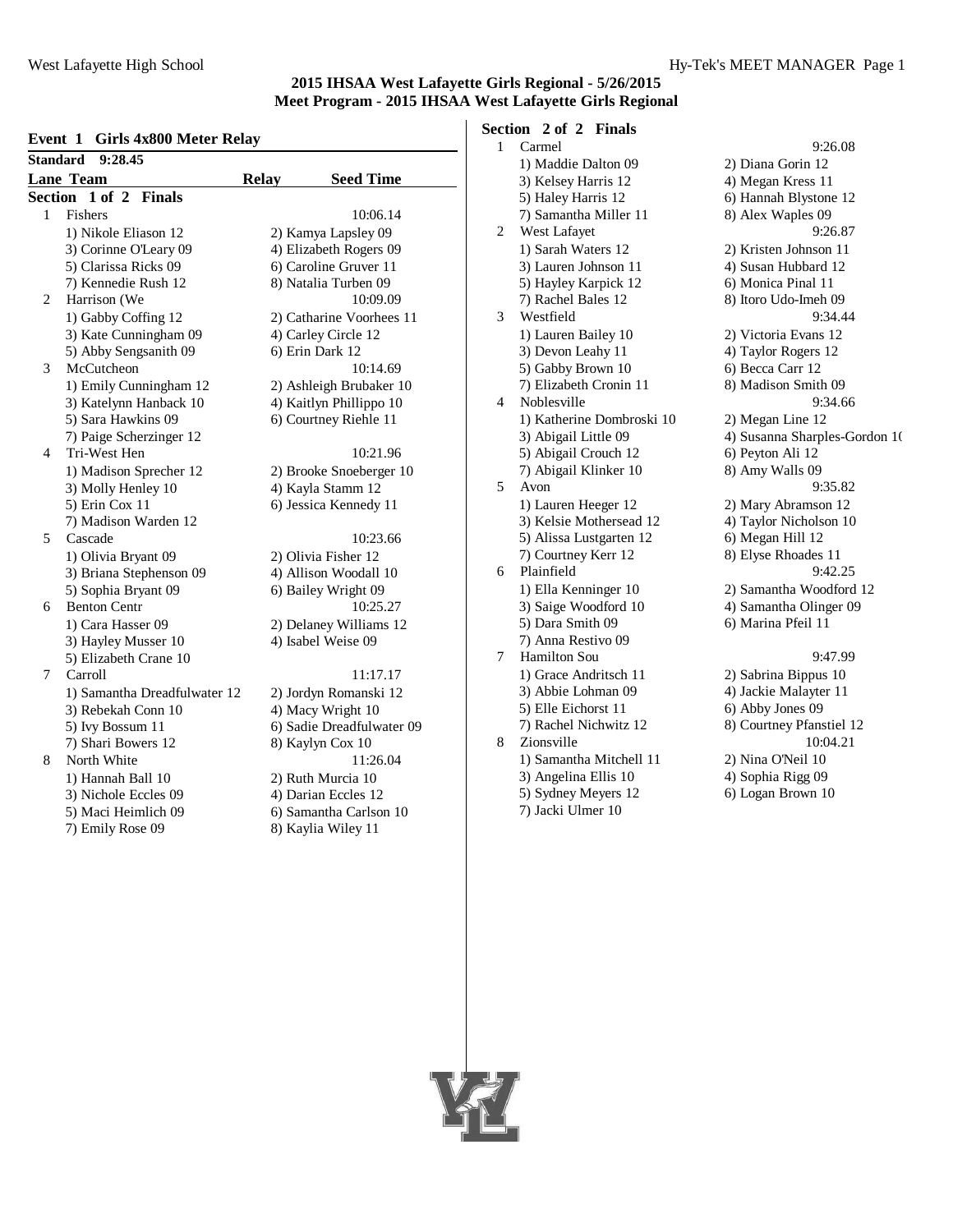# **Event 1 Girls 4x800 Meter Relay**

| <b>Standard</b> | SHIP <b>ROOD</b> Meter Renay<br>9:28.45 |              |                           |
|-----------------|-----------------------------------------|--------------|---------------------------|
|                 | <b>Lane Team</b>                        | <b>Relay</b> | <b>Seed Time</b>          |
| Section         | $1$ of $2$<br><b>Finals</b>             |              |                           |
| 1               | Fishers                                 |              | 10:06.14                  |
|                 | 1) Nikole Eliason 12                    |              | 2) Kamya Lapsley 09       |
|                 | 3) Corinne O'Leary 09                   |              | 4) Elizabeth Rogers 09    |
|                 | 5) Clarissa Ricks 09                    |              | 6) Caroline Gruver 11     |
|                 | 7) Kennedie Rush 12                     |              | 8) Natalia Turben 09      |
| $\overline{c}$  | Harrison (We                            |              | 10:09.09                  |
|                 | 1) Gabby Coffing 12                     |              | 2) Catharine Voorhees 11  |
|                 | 3) Kate Cunningham 09                   |              | 4) Carley Circle 12       |
|                 | 5) Abby Sengsanith 09                   |              | 6) Erin Dark 12           |
| 3               | McCutcheon                              |              | 10:14.69                  |
|                 | 1) Emily Cunningham 12                  |              | 2) Ashleigh Brubaker 10   |
|                 | 3) Katelynn Hanback 10                  |              | 4) Kaitlyn Phillippo 10   |
|                 | 5) Sara Hawkins 09                      |              | 6) Courtney Riehle 11     |
|                 | 7) Paige Scherzinger 12                 |              |                           |
| 4               | Tri-West Hen                            |              | 10:21.96                  |
|                 | 1) Madison Sprecher 12                  |              | 2) Brooke Snoeberger 10   |
|                 | 3) Molly Henley 10                      |              | 4) Kayla Stamm 12         |
|                 | 5) Erin Cox 11                          |              | 6) Jessica Kennedy 11     |
|                 | 7) Madison Warden 12                    |              |                           |
| 5               | Cascade                                 |              | 10:23.66                  |
|                 | 1) Olivia Bryant 09                     |              | 2) Olivia Fisher 12       |
|                 | 3) Briana Stephenson 09                 |              | 4) Allison Woodall 10     |
|                 | 5) Sophia Bryant 09                     |              | 6) Bailey Wright 09       |
| 6               | <b>Benton Centr</b>                     |              | 10:25.27                  |
|                 | 1) Cara Hasser 09                       |              | 2) Delaney Williams 12    |
|                 | 3) Hayley Musser 10                     |              | 4) Isabel Weise 09        |
|                 | 5) Elizabeth Crane 10                   |              |                           |
| 7               | Carroll                                 |              | 11:17.17                  |
|                 | 1) Samantha Dreadfulwater 12            |              | 2) Jordyn Romanski 12     |
|                 | 3) Rebekah Conn 10                      |              | 4) Macy Wright 10         |
|                 | 5) Ivy Bossum 11                        |              | 6) Sadie Dreadfulwater 09 |
|                 | 7) Shari Bowers 12                      |              | 8) Kaylyn Cox 10          |
| 8               | North White                             |              | 11:26.04                  |
|                 | 1) Hannah Ball 10                       |              | 2) Ruth Murcia 10         |
|                 | 3) Nichole Eccles 09                    |              | 4) Darian Eccles 12       |
|                 | 5) Maci Heimlich 09                     |              | 6) Samantha Carlson 10    |
|                 | 7) Emily Rose 09                        |              | 8) Kaylia Wiley 11        |

# **Section 2 of 2 Finals**

| 1 | Carmel                    | 9:26.08                       |
|---|---------------------------|-------------------------------|
|   | 1) Maddie Dalton 09       | 2) Diana Gorin 12             |
|   | 3) Kelsey Harris 12       | 4) Megan Kress 11             |
|   | 5) Haley Harris 12        | 6) Hannah Blystone 12         |
|   | 7) Samantha Miller 11     | 8) Alex Waples 09             |
| 2 | West Lafayet              | 9:26.87                       |
|   | 1) Sarah Waters 12        | 2) Kristen Johnson 11         |
|   | 3) Lauren Johnson 11      | 4) Susan Hubbard 12           |
|   | 5) Hayley Karpick 12      | 6) Monica Pinal 11            |
|   | 7) Rachel Bales 12        | 8) Itoro Udo-Imeh 09          |
| 3 | Westfield                 | 9:34.44                       |
|   | 1) Lauren Bailey 10       | 2) Victoria Evans 12          |
|   | 3) Devon Leahy 11         | 4) Taylor Rogers 12           |
|   | 5) Gabby Brown 10         | 6) Becca Carr 12              |
|   | 7) Elizabeth Cronin 11    | 8) Madison Smith 09           |
| 4 | Noblesville               | 9:34.66                       |
|   | 1) Katherine Dombroski 10 | 2) Megan Line 12              |
|   | 3) Abigail Little 09      | 4) Susanna Sharples-Gordon 10 |
|   | 5) Abigail Crouch 12      | 6) Peyton Ali 12              |
|   | 7) Abigail Klinker 10     | 8) Amy Walls 09               |
| 5 | Avon                      | 9:35.82                       |
|   | 1) Lauren Heeger 12       | 2) Mary Abramson 12           |
|   | 3) Kelsie Mothersead 12   | 4) Taylor Nicholson 10        |
|   | 5) Alissa Lustgarten 12   | 6) Megan Hill 12              |
|   | 7) Courtney Kerr 12       | 8) Elyse Rhoades 11           |
| 6 | Plainfield                | 9:42.25                       |
|   | 1) Ella Kenninger 10      | 2) Samantha Woodford 12       |
|   | 3) Saige Woodford 10      | 4) Samantha Olinger 09        |
|   | 5) Dara Smith 09          | 6) Marina Pfeil 11            |
|   | 7) Anna Restivo 09        |                               |
| 7 | <b>Hamilton Sou</b>       | 9:47.99                       |
|   | 1) Grace Andritsch 11     | 2) Sabrina Bippus 10          |
|   | 3) Abbie Lohman 09        | 4) Jackie Malayter 11         |
|   | 5) Elle Eichorst 11       | 6) Abby Jones 09              |
|   | 7) Rachel Nichwitz 12     | 8) Courtney Pfanstiel 12      |
| 8 | Zionsville                | 10:04.21                      |
|   | 1) Samantha Mitchell 11   | 2) Nina O'Neil 10             |
|   | 3) Angelina Ellis 10      | 4) Sophia Rigg 09             |
|   | 5) Sydney Meyers 12       | 6) Logan Brown 10             |

7) Jacki Ulmer 10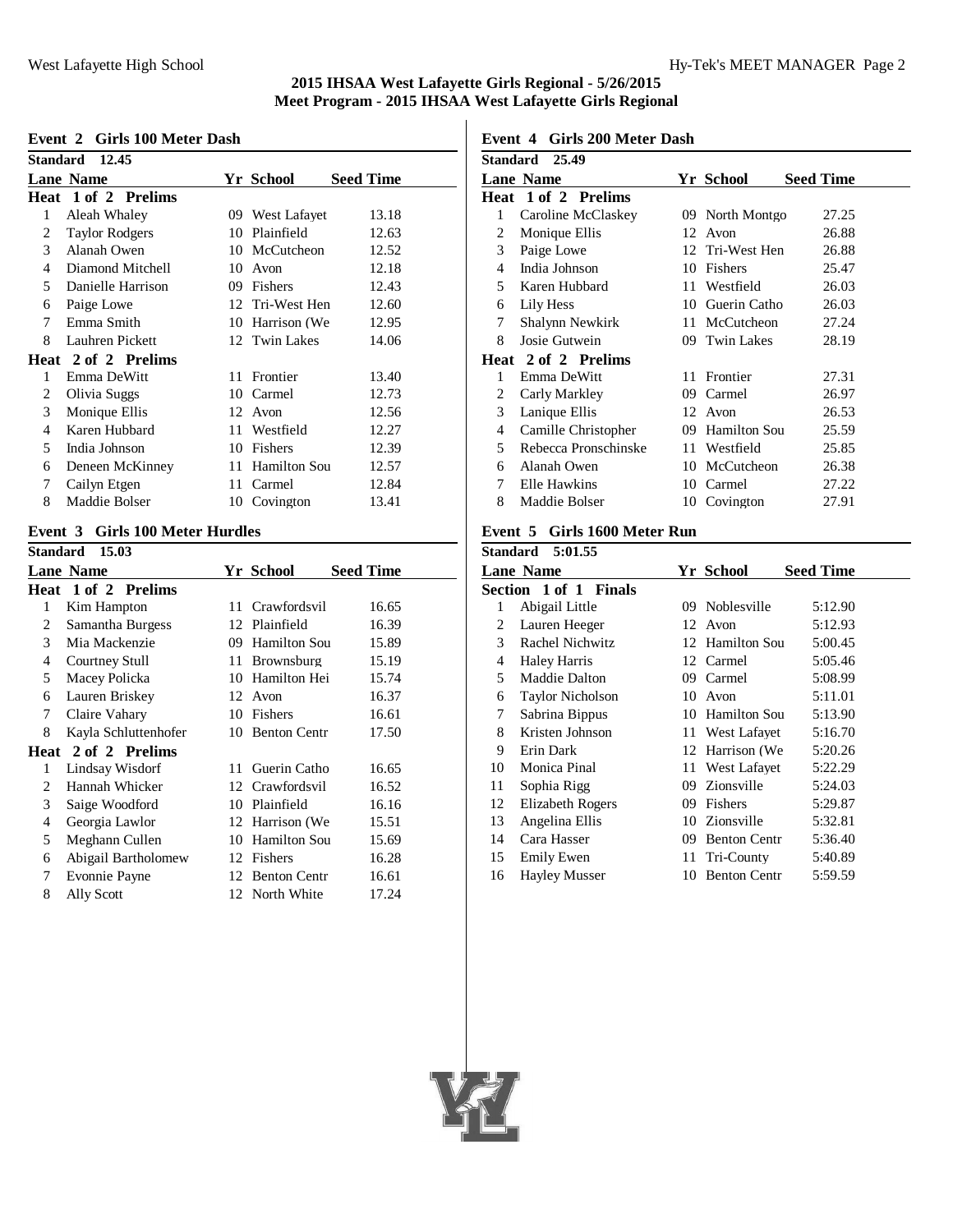#### **Event 2 Girls 100 Meter Dash**

|   | Standard 12.45        |    |                 |                  |
|---|-----------------------|----|-----------------|------------------|
|   | <b>Lane Name</b>      |    | Yr School       | <b>Seed Time</b> |
|   | Heat 1 of 2 Prelims   |    |                 |                  |
| 1 | Aleah Whaley          |    | 09 West Lafayet | 13.18            |
| 2 | <b>Taylor Rodgers</b> | 10 | Plainfield      | 12.63            |
| 3 | Alanah Owen           |    | 10 McCutcheon   | 12.52            |
| 4 | Diamond Mitchell      | 10 | Avon            | 12.18            |
| 5 | Danielle Harrison     | 09 | Fishers         | 12.43            |
| 6 | Paige Lowe            |    | 12 Tri-West Hen | 12.60            |
| 7 | Emma Smith            | 10 | Harrison (We    | 12.95            |
| 8 | Lauhren Pickett       |    | 12 Twin Lakes   | 14.06            |
|   | Heat 2 of 2 Prelims   |    |                 |                  |
| 1 | Emma DeWitt           | 11 | Frontier        | 13.40            |
| 2 | Olivia Suggs          | 10 | Carmel          | 12.73            |
| 3 | Monique Ellis         | 12 | Avon            | 12.56            |
| 4 | Karen Hubbard         | 11 | Westfield       | 12.27            |
| 5 | India Johnson         | 10 | Fishers         | 12.39            |
| 6 | Deneen McKinney       |    | 11 Hamilton Sou | 12.57            |
| 7 | Cailyn Etgen          | 11 | Carmel          | 12.84            |
| 8 | Maddie Bolser         | 10 | Covington       | 13.41            |

# **Event 3 Girls 100 Meter Hurdles**

| Standard | 15.03                |     |                   |                  |
|----------|----------------------|-----|-------------------|------------------|
|          | <b>Lane Name</b>     |     | Yr School         | <b>Seed Time</b> |
| Heat     | 1 of 2 Prelims       |     |                   |                  |
| 1        | Kim Hampton          | 11. | Crawfordsvil      | 16.65            |
| 2        | Samantha Burgess     |     | 12 Plainfield     | 16.39            |
| 3        | Mia Mackenzie        | 09  | Hamilton Sou      | 15.89            |
| 4        | Courtney Stull       | 11  | <b>Brownsburg</b> | 15.19            |
| 5        | Macey Policka        | 10  | Hamilton Hei      | 15.74            |
| 6        | Lauren Briskey       |     | 12 Avon           | 16.37            |
| 7        | Claire Vahary        |     | 10 Fishers        | 16.61            |
| 8        | Kayla Schluttenhofer |     | 10 Benton Centr   | 17.50            |
|          | Heat 2 of 2 Prelims  |     |                   |                  |
| 1        | Lindsay Wisdorf      | 11. | Guerin Catho      | 16.65            |
| 2        | Hannah Whicker       |     | 12 Crawfordsvil   | 16.52            |
| 3        | Saige Woodford       | 10  | Plainfield        | 16.16            |
| 4        | Georgia Lawlor       |     | 12 Harrison (We   | 15.51            |
| 5        | Meghann Cullen       |     | 10 Hamilton Sou   | 15.69            |
| 6        | Abigail Bartholomew  |     | 12 Fishers        | 16.28            |
| 7        | Evonnie Payne        |     | 12 Benton Centr   | 16.61            |
| 8        | Ally Scott           |     | 12 North White    | 17.24            |
|          |                      |     |                   |                  |

#### **Event 4 Girls 200 Meter Dash**

|    | Standard 25.49             |     |                 |                  |
|----|----------------------------|-----|-----------------|------------------|
|    | <b>Lane Name</b>           |     | Yr School       | <b>Seed Time</b> |
|    | <b>Heat</b> 1 of 2 Prelims |     |                 |                  |
| 1  | Caroline McClaskey         |     | 09 North Montgo | 27.25            |
| 2  | Monique Ellis              | 12  | Avon            | 26.88            |
| 3  | Paige Lowe                 |     | 12 Tri-West Hen | 26.88            |
| 4  | India Johnson              | 10  | Fishers         | 25.47            |
| 5. | Karen Hubbard              |     | 11 Westfield    | 26.03            |
| 6  | Lily Hess                  |     | 10 Guerin Catho | 26.03            |
| 7  | Shalynn Newkirk            |     | 11 McCutcheon   | 27.24            |
| 8  | Josie Gutwein              |     | 09 Twin Lakes   | 28.19            |
|    | Heat 2 of 2 Prelims        |     |                 |                  |
| 1  | Emma DeWitt                | 11. | Frontier        | 27.31            |
| 2  | Carly Markley              | 09  | Carmel          | 26.97            |
| 3  | Lanique Ellis              |     | 12 Avon         | 26.53            |
| 4  | Camille Christopher        |     | 09 Hamilton Sou | 25.59            |
| 5. | Rebecca Pronschinske       |     | 11 Westfield    | 25.85            |
| 6  | Alanah Owen                | 10  | McCutcheon      | 26.38            |
| 7  | Elle Hawkins               | 10  | Carmel          | 27.22            |
| 8  | Maddie Bolser              | 10  | Covington       | 27.91            |
|    |                            |     |                 |                  |

# **Event 5 Girls 1600 Meter Run**

| <b>Standard 5:01.55</b>                           |                         |     |                     |         |  |  |  |
|---------------------------------------------------|-------------------------|-----|---------------------|---------|--|--|--|
| <b>Seed Time</b><br><b>Lane Name</b><br>Yr School |                         |     |                     |         |  |  |  |
|                                                   | Section 1 of 1 Finals   |     |                     |         |  |  |  |
| 1                                                 | Abigail Little          |     | 09 Noblesville      | 5:12.90 |  |  |  |
| 2                                                 | Lauren Heeger           | 12  | Avon                | 5:12.93 |  |  |  |
| 3                                                 | Rachel Nichwitz         |     | 12 Hamilton Sou     | 5:00.45 |  |  |  |
| 4                                                 | Haley Harris            |     | 12 Carmel           | 5:05.46 |  |  |  |
| 5                                                 | Maddie Dalton           | 09. | Carmel              | 5:08.99 |  |  |  |
| 6                                                 | <b>Taylor Nicholson</b> | 10  | Avon                | 5:11.01 |  |  |  |
| 7                                                 | Sabrina Bippus          |     | 10 Hamilton Sou     | 5:13.90 |  |  |  |
| 8                                                 | Kristen Johnson         |     | 11 West Lafayet     | 5:16.70 |  |  |  |
| 9                                                 | Erin Dark               |     | 12 Harrison (We     | 5:20.26 |  |  |  |
| 10                                                | Monica Pinal            | 11  | West Lafayet        | 5:22.29 |  |  |  |
| 11                                                | Sophia Rigg             |     | 09 Zionsville       | 5:24.03 |  |  |  |
| 12                                                | <b>Elizabeth Rogers</b> | 09  | Fishers             | 5:29.87 |  |  |  |
| 13                                                | Angelina Ellis          |     | 10 Zionsville       | 5:32.81 |  |  |  |
| 14                                                | Cara Hasser             | 09  | <b>Benton Centr</b> | 5:36.40 |  |  |  |
| 15                                                | Emily Ewen              | 11- | Tri-County          | 5:40.89 |  |  |  |
| 16                                                | Hayley Musser           | 10  | <b>Benton Centr</b> | 5:59.59 |  |  |  |

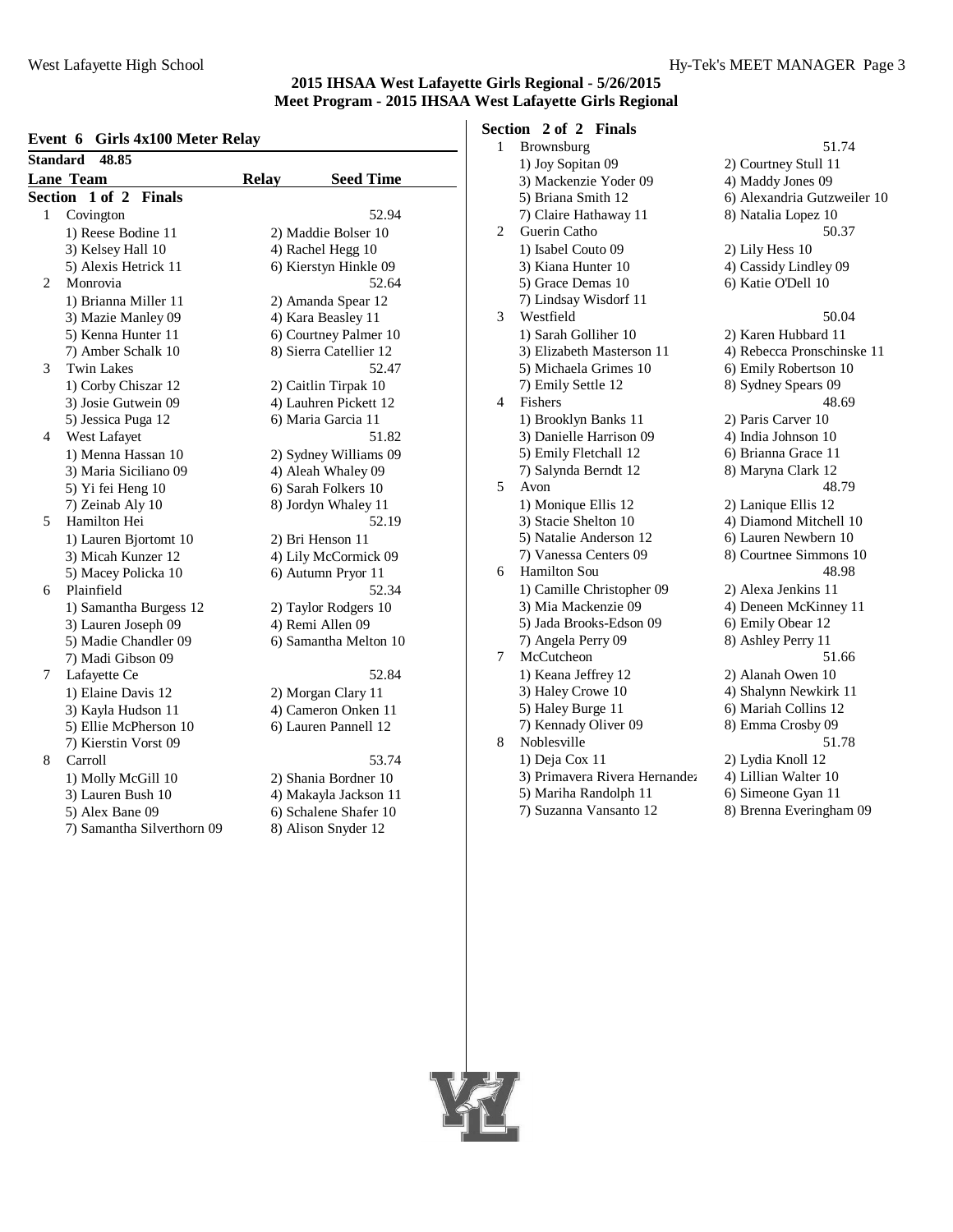#### **Event 6 Girls 4x100 Meter Relay**

| <b>Standard</b> | 48.85                      |              |                        |
|-----------------|----------------------------|--------------|------------------------|
|                 | <b>Lane Team</b>           | <b>Relay</b> | <b>Seed Time</b>       |
| Section         | 1 of 2<br><b>Finals</b>    |              |                        |
| 1               | Covington                  |              | 52.94                  |
|                 | 1) Reese Bodine 11         |              | 2) Maddie Bolser 10    |
|                 | 3) Kelsey Hall 10          |              | 4) Rachel Hegg 10      |
|                 | 5) Alexis Hetrick 11       |              | 6) Kierstyn Hinkle 09  |
| 2               | Monrovia                   |              | 52.64                  |
|                 | 1) Brianna Miller 11       |              | 2) Amanda Spear 12     |
|                 | 3) Mazie Manley 09         |              | 4) Kara Beasley 11     |
|                 | 5) Kenna Hunter 11         |              | 6) Courtney Palmer 10  |
|                 | 7) Amber Schalk 10         |              | 8) Sierra Catellier 12 |
| 3               | <b>Twin Lakes</b>          |              | 52.47                  |
|                 | 1) Corby Chiszar 12        |              | 2) Caitlin Tirpak 10   |
|                 | 3) Josie Gutwein 09        |              | 4) Lauhren Pickett 12  |
|                 | 5) Jessica Puga 12         |              | 6) Maria Garcia 11     |
| 4               | West Lafayet               |              | 51.82                  |
|                 | 1) Menna Hassan 10         |              | 2) Sydney Williams 09  |
|                 | 3) Maria Siciliano 09      |              | 4) Aleah Whaley 09     |
|                 | 5) Yi fei Heng 10          |              | 6) Sarah Folkers 10    |
|                 | 7) Zeinab Aly 10           |              | 8) Jordyn Whaley 11    |
| 5               | Hamilton Hei               |              | 52.19                  |
|                 | 1) Lauren Bjortomt 10      |              | 2) Bri Henson 11       |
|                 | 3) Micah Kunzer 12         |              | 4) Lily McCormick 09   |
|                 | 5) Macey Policka 10        |              | 6) Autumn Pryor 11     |
| 6               | Plainfield                 |              | 52.34                  |
|                 | 1) Samantha Burgess 12     |              | 2) Taylor Rodgers 10   |
|                 | 3) Lauren Joseph 09        |              | 4) Remi Allen 09       |
|                 | 5) Madie Chandler 09       |              | 6) Samantha Melton 10  |
|                 | 7) Madi Gibson 09          |              |                        |
| 7               | Lafayette Ce               |              | 52.84                  |
|                 | 1) Elaine Davis 12         |              | 2) Morgan Clary 11     |
|                 | 3) Kayla Hudson 11         |              | 4) Cameron Onken 11    |
|                 | 5) Ellie McPherson 10      |              | 6) Lauren Pannell 12   |
|                 | 7) Kierstin Vorst 09       |              |                        |
| 8               | Carroll                    |              | 53.74                  |
|                 | 1) Molly McGill 10         |              | 2) Shania Bordner 10   |
|                 | 3) Lauren Bush 10          |              | 4) Makayla Jackson 11  |
|                 | 5) Alex Bane 09            |              | 6) Schalene Shafer 10  |
|                 | 7) Samantha Silverthorn 09 |              | 8) Alison Snyder 12    |

# **Section 2 of 2 Finals**

| $\mathbf{1}$   | Brownsburg                                      | 51.74                                         |
|----------------|-------------------------------------------------|-----------------------------------------------|
|                | 1) Joy Sopitan 09                               | 2) Courtney Stull 11                          |
|                | 3) Mackenzie Yoder 09                           | 4) Maddy Jones 09                             |
|                | 5) Briana Smith 12                              | 6) Alexandria Gutzweiler 10                   |
|                | 7) Claire Hathaway 11                           | 8) Natalia Lopez 10                           |
| 2              | Guerin Catho                                    | 50.37                                         |
|                | 1) Isabel Couto 09                              | 2) Lily Hess 10                               |
|                | 3) Kiana Hunter 10                              | 4) Cassidy Lindley 09                         |
|                | 5) Grace Demas 10                               | 6) Katie O'Dell 10                            |
|                | 7) Lindsay Wisdorf 11                           |                                               |
| 3              | Westfield                                       | 50.04                                         |
|                | 1) Sarah Golliher 10                            | 2) Karen Hubbard 11                           |
|                | 3) Elizabeth Masterson 11                       | 4) Rebecca Pronschinske 11                    |
|                | 5) Michaela Grimes 10                           | 6) Emily Robertson 10                         |
|                | 7) Emily Settle 12                              | 8) Sydney Spears 09                           |
| $\overline{4}$ | Fishers                                         | 48.69                                         |
|                | 1) Brooklyn Banks 11                            | 2) Paris Carver 10                            |
|                | 3) Danielle Harrison 09                         | 4) India Johnson 10                           |
|                | 5) Emily Fletchall 12                           | 6) Brianna Grace 11                           |
|                | 7) Salynda Berndt 12                            | 8) Maryna Clark 12                            |
| 5              | Avon                                            | 48.79                                         |
|                | 1) Monique Ellis 12                             | 2) Lanique Ellis 12                           |
|                | 3) Stacie Shelton 10                            | 4) Diamond Mitchell 10                        |
|                | 5) Natalie Anderson 12                          | 6) Lauren Newbern 10                          |
|                | 7) Vanessa Centers 09                           | 8) Courtnee Simmons 10                        |
| 6              | <b>Hamilton Sou</b>                             | 48.98                                         |
|                | 1) Camille Christopher 09                       | 2) Alexa Jenkins 11                           |
|                | 3) Mia Mackenzie 09                             | 4) Deneen McKinney 11                         |
|                | 5) Jada Brooks-Edson 09                         | 6) Emily Obear 12                             |
|                | 7) Angela Perry 09<br>McCutcheon                | 8) Ashley Perry 11<br>51.66                   |
| 7              |                                                 |                                               |
|                | 1) Keana Jeffrey 12                             | 2) Alanah Owen 10                             |
|                | 3) Haley Crowe 10<br>5) Haley Burge 11          | 4) Shalynn Newkirk 11<br>6) Mariah Collins 12 |
|                | 7) Kennady Oliver 09                            | 8) Emma Crosby 09                             |
| 8              | Noblesville                                     | 51.78                                         |
|                |                                                 |                                               |
|                | 1) Deja Cox 11<br>3) Primavera Rivera Hernandez | 2) Lydia Knoll 12<br>4) Lillian Walter 10     |
|                | 5) Mariha Randolph 11                           | 6) Simeone Gyan 11                            |
|                | 7) Suzanna Vansanto 12                          | 8) Brenna Everingham 09                       |
|                |                                                 |                                               |

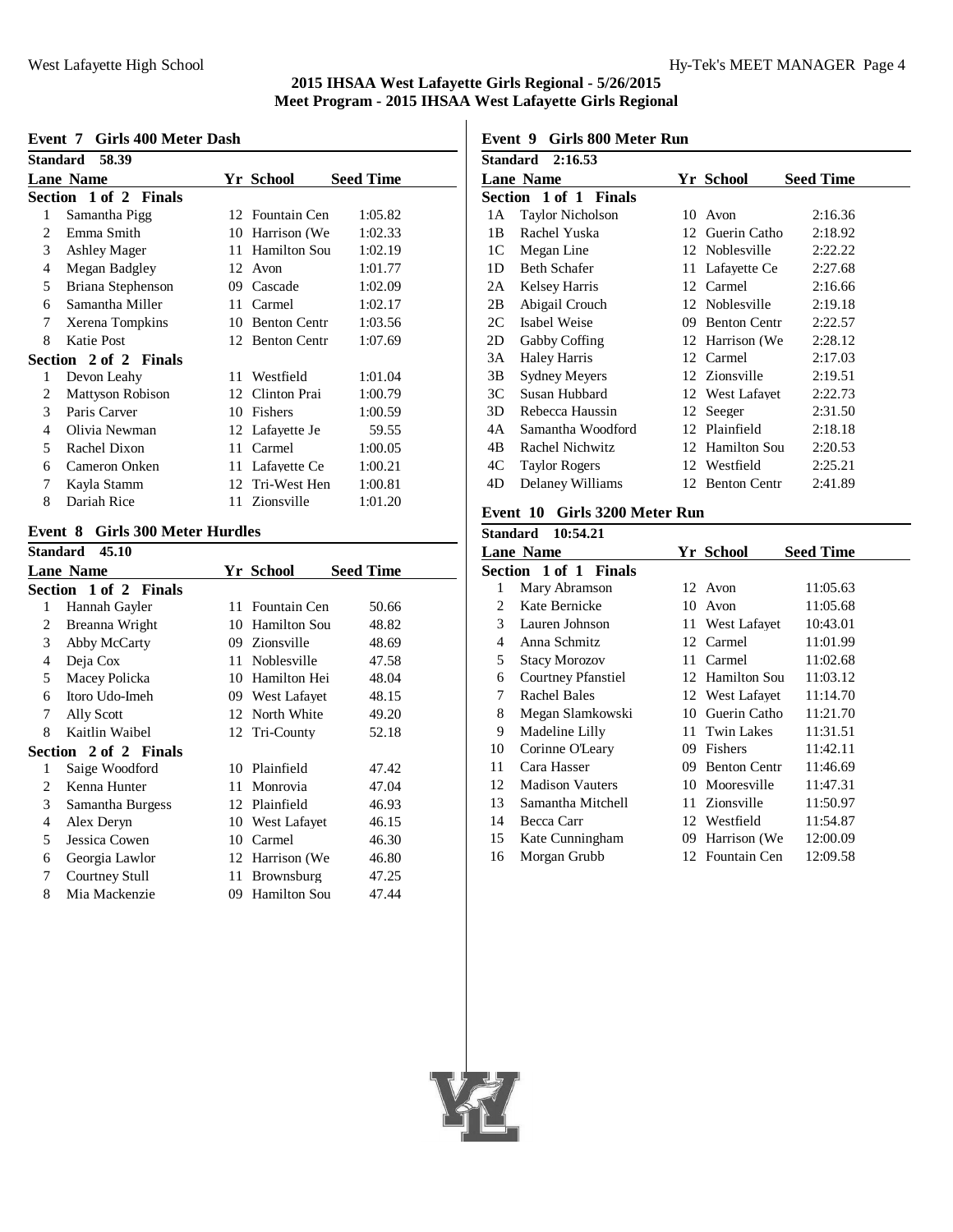#### **Event 7 Girls 400 Meter Dash**

| Standard 58.39 |                         |    |                     |                  |
|----------------|-------------------------|----|---------------------|------------------|
|                | <b>Lane Name</b>        |    | Yr School           | <b>Seed Time</b> |
|                | Section 1 of 2 Finals   |    |                     |                  |
| 1              | Samantha Pigg           |    | 12 Fountain Cen     | 1:05.82          |
| 2              | Emma Smith              | 10 | Harrison (We        | 1:02.33          |
| 3              | <b>Ashley Mager</b>     | 11 | <b>Hamilton Sou</b> | 1:02.19          |
| 4              | Megan Badgley           | 12 | Avon                | 1:01.77          |
| 5              | Briana Stephenson       | 09 | Cascade             | 1:02.09          |
| 6              | Samantha Miller         | 11 | Carmel              | 1:02.17          |
| 7              | Xerena Tompkins         | 10 | <b>Benton Centr</b> | 1:03.56          |
| 8              | Katie Post              |    | 12 Benton Centr     | 1:07.69          |
|                | Section 2 of 2 Finals   |    |                     |                  |
| 1              | Devon Leahy             |    | 11 Westfield        | 1:01.04          |
| 2              | <b>Mattyson Robison</b> |    | 12 Clinton Prai     | 1:00.79          |
| 3              | Paris Carver            | 10 | Fishers             | 1:00.59          |
| 4              | Olivia Newman           |    | 12 Lafayette Je     | 59.55            |
| 5              | Rachel Dixon            | 11 | Carmel              | 1:00.05          |
| 6              | Cameron Onken           |    | 11 Lafayette Ce     | 1:00.21          |
| 7              | Kayla Stamm             |    | 12 Tri-West Hen     | 1:00.81          |
| 8              | Dariah Rice             |    | 11 Zionsville       | 1:01.20          |
|                |                         |    |                     |                  |

# **Event 8 Girls 300 Meter Hurdles**

| <b>Standard</b> | 45.10                 |    |                     |                  |
|-----------------|-----------------------|----|---------------------|------------------|
|                 | <b>Lane Name</b>      |    | Yr School           | <b>Seed Time</b> |
|                 | Section 1 of 2 Finals |    |                     |                  |
| 1               | Hannah Gayler         | 11 | Fountain Cen        | 50.66            |
| 2               | Breanna Wright        | 10 | <b>Hamilton Sou</b> | 48.82            |
| 3               | Abby McCarty          |    | 09 Zionsville       | 48.69            |
| 4               | Deja Cox              | 11 | Noblesville         | 47.58            |
| 5               | Macey Policka         | 10 | Hamilton Hei        | 48.04            |
| 6               | Itoro Udo-Imeh        |    | 09 West Lafayet     | 48.15            |
| 7               | Ally Scott            |    | 12 North White      | 49.20            |
| 8               | Kaitlin Waibel        |    | 12 Tri-County       | 52.18            |
|                 | Section 2 of 2 Finals |    |                     |                  |
| 1               | Saige Woodford        |    | 10 Plainfield       | 47.42            |
| 2               | Kenna Hunter          | 11 | Monrovia            | 47.04            |
| 3               | Samantha Burgess      |    | 12 Plainfield       | 46.93            |
| $\overline{4}$  | Alex Deryn            |    | 10 West Lafayet     | 46.15            |
| 5               | Jessica Cowen         | 10 | Carmel              | 46.30            |
| 6               | Georgia Lawlor        |    | 12 Harrison (We     | 46.80            |
| 7               | Courtney Stull        | 11 | <b>Brownsburg</b>   | 47.25            |
| 8               | Mia Mackenzie         | 09 | Hamilton Sou        | 47.44            |
|                 |                       |    |                     |                  |

### **Event 9 Girls 800 Meter Run**

| <b>Standard</b> 2:16.53 |                         |    |                     |                  |
|-------------------------|-------------------------|----|---------------------|------------------|
|                         | <b>Lane Name</b>        |    | Yr School           | <b>Seed Time</b> |
|                         | Section 1 of 1 Finals   |    |                     |                  |
| 1А                      | <b>Taylor Nicholson</b> | 10 | Avon                | 2:16.36          |
| 1B                      | Rachel Yuska            |    | 12 Guerin Catho     | 2:18.92          |
| 1C                      | Megan Line              |    | 12 Noblesville      | 2:22.22          |
| 1D                      | <b>Beth Schafer</b>     |    | 11 Lafayette Ce     | 2:27.68          |
| 2A                      | <b>Kelsey Harris</b>    |    | 12 Carmel           | 2:16.66          |
| 2B                      | Abigail Crouch          |    | 12 Noblesville      | 2:19.18          |
| 2C                      | Isabel Weise            | 09 | <b>Benton Centr</b> | 2:22.57          |
| 2D                      | Gabby Coffing           |    | 12 Harrison (We     | 2:28.12          |
| 3A                      | <b>Haley Harris</b>     |    | 12 Carmel           | 2:17.03          |
| 3B                      | <b>Sydney Meyers</b>    |    | 12 Zionsville       | 2:19.51          |
| 3C                      | Susan Hubbard           |    | 12 West Lafayet     | 2:22.73          |
| 3D                      | Rebecca Haussin         | 12 | Seeger              | 2:31.50          |
| 4Α                      | Samantha Woodford       | 12 | Plainfield          | 2:18.18          |
| 4B                      | Rachel Nichwitz         |    | 12 Hamilton Sou     | 2:20.53          |
| 4C                      | <b>Taylor Rogers</b>    |    | 12 Westfield        | 2:25.21          |
| 4D                      | Delaney Williams        |    | 12 Benton Centr     | 2:41.89          |
|                         |                         |    |                     |                  |

# **Event 10 Girls 3200 Meter Run**

|                       | Standard 10:54.21         |     |                 |                  |
|-----------------------|---------------------------|-----|-----------------|------------------|
|                       | <b>Lane Name</b>          |     | Yr School       | <b>Seed Time</b> |
|                       | Section 1 of 1 Finals     |     |                 |                  |
| 1                     | Mary Abramson             |     | 12 Avon         | 11:05.63         |
| $\mathcal{D}_{\cdot}$ | Kate Bernicke             | 10. | Avon            | 11:05.68         |
| 3                     | Lauren Johnson            |     | 11 West Lafayet | 10:43.01         |
| 4                     | Anna Schmitz              |     | 12 Carmel       | 11:01.99         |
| 5                     | <b>Stacy Morozov</b>      |     | 11 Carmel       | 11:02.68         |
| 6                     | <b>Courtney Pfanstiel</b> |     | 12 Hamilton Sou | 11:03.12         |
| 7                     | Rachel Bales              |     | 12 West Lafayet | 11:14.70         |
| 8                     | Megan Slamkowski          | 10  | Guerin Catho    | 11:21.70         |
| 9                     | Madeline Lilly            |     | 11 Twin Lakes   | 11:31.51         |
| 10                    | Corinne O'Leary           |     | 09 Fishers      | 11:42.11         |
| 11                    | Cara Hasser               |     | 09 Benton Centr | 11:46.69         |
| 12                    | <b>Madison Vauters</b>    | 10  | Mooresville     | 11:47.31         |
| 13                    | Samantha Mitchell         |     | 11 Zionsville   | 11:50.97         |
| 14                    | Becca Carr                |     | 12 Westfield    | 11:54.87         |
| 15                    | Kate Cunningham           |     | 09 Harrison (We | 12:00.09         |
| 16                    | Morgan Grubb              |     | 12 Fountain Cen | 12:09.58         |
|                       |                           |     |                 |                  |

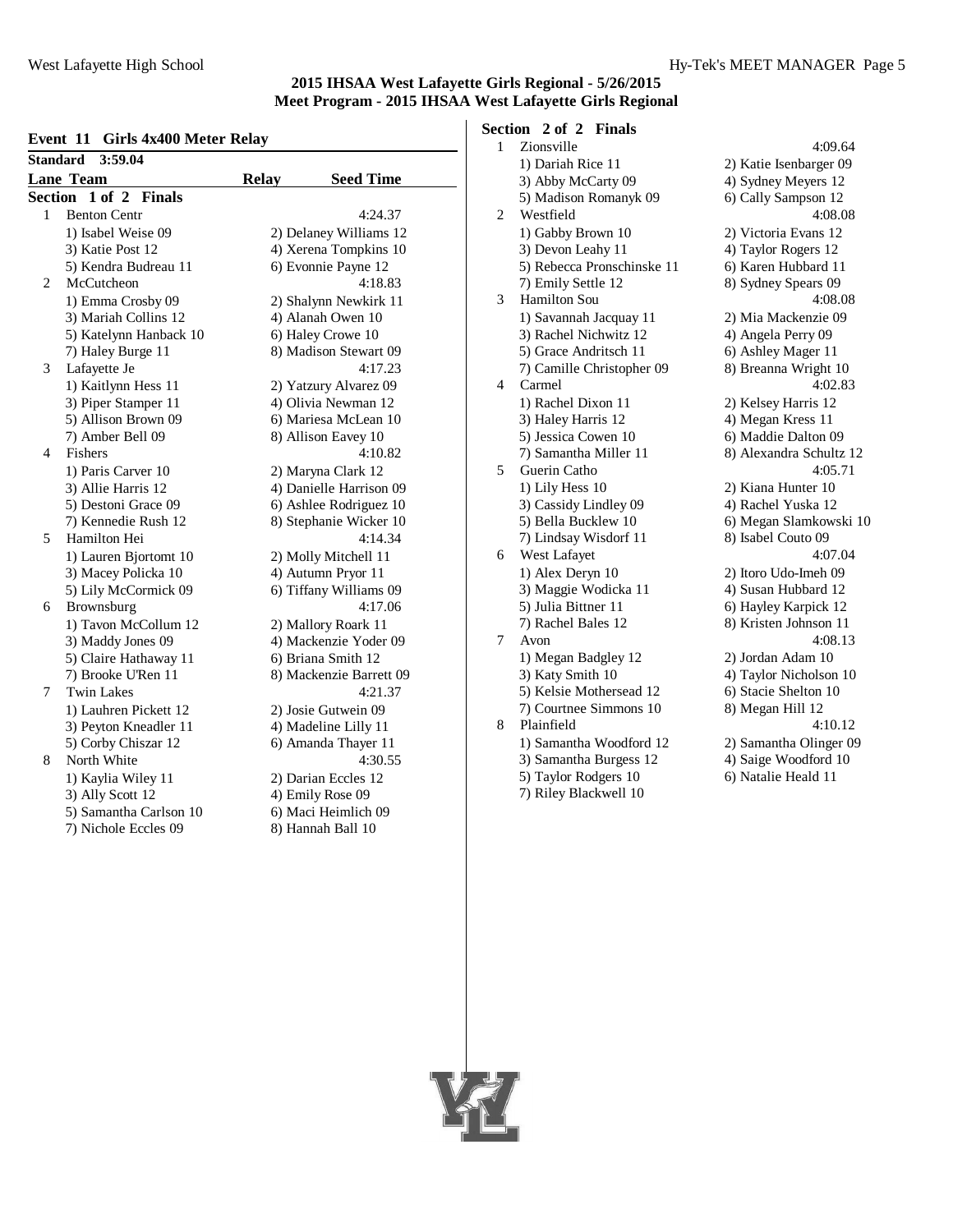# **Event 11 Girls 4x400 Meter Relay**

| <b>UMM MOV</b><br><b>Standard</b><br>3:59.04 |                        |                                                 |                         |  |  |  |
|----------------------------------------------|------------------------|-------------------------------------------------|-------------------------|--|--|--|
|                                              | <b>Lane Team</b>       | <b>Relay</b>                                    | <b>Seed Time</b>        |  |  |  |
| Section 1 of 2 Finals                        |                        |                                                 |                         |  |  |  |
| 1<br><b>Benton Centr</b>                     |                        | 4:24.37                                         |                         |  |  |  |
|                                              | 1) Isabel Weise 09     | 2) Delaney Williams 12<br>4) Xerena Tompkins 10 |                         |  |  |  |
|                                              | 3) Katie Post 12       |                                                 |                         |  |  |  |
|                                              | 5) Kendra Budreau 11   |                                                 | 6) Evonnie Payne 12     |  |  |  |
| $\overline{c}$                               | McCutcheon             |                                                 | 4:18.83                 |  |  |  |
|                                              | 1) Emma Crosby 09      |                                                 | 2) Shalynn Newkirk 11   |  |  |  |
|                                              | 3) Mariah Collins 12   | 4) Alanah Owen 10                               |                         |  |  |  |
|                                              | 5) Katelynn Hanback 10 |                                                 | 6) Haley Crowe 10       |  |  |  |
|                                              | 7) Haley Burge 11      |                                                 | 8) Madison Stewart 09   |  |  |  |
| 3                                            | Lafayette Je           |                                                 | 4:17.23                 |  |  |  |
|                                              | 1) Kaitlynn Hess 11    |                                                 | 2) Yatzury Alvarez 09   |  |  |  |
|                                              | 3) Piper Stamper 11    |                                                 | 4) Olivia Newman 12     |  |  |  |
|                                              | 5) Allison Brown 09    |                                                 | 6) Mariesa McLean 10    |  |  |  |
|                                              | 7) Amber Bell 09       |                                                 | 8) Allison Eavey 10     |  |  |  |
| 4                                            | Fishers                |                                                 | 4:10.82                 |  |  |  |
|                                              | 1) Paris Carver 10     |                                                 | 2) Maryna Clark 12      |  |  |  |
|                                              | 3) Allie Harris 12     |                                                 | 4) Danielle Harrison 09 |  |  |  |
|                                              | 5) Destoni Grace 09    |                                                 | 6) Ashlee Rodriguez 10  |  |  |  |
|                                              | 7) Kennedie Rush 12    |                                                 | 8) Stephanie Wicker 10  |  |  |  |
| 5                                            | Hamilton Hei           |                                                 | 4:14.34                 |  |  |  |
|                                              | 1) Lauren Bjortomt 10  |                                                 | 2) Molly Mitchell 11    |  |  |  |
|                                              | 3) Macey Policka 10    |                                                 | 4) Autumn Pryor 11      |  |  |  |
|                                              | 5) Lily McCormick 09   |                                                 | 6) Tiffany Williams 09  |  |  |  |
| 6                                            | Brownsburg             |                                                 | 4:17.06                 |  |  |  |
|                                              | 1) Tavon McCollum 12   |                                                 | 2) Mallory Roark 11     |  |  |  |
|                                              | 3) Maddy Jones 09      |                                                 | 4) Mackenzie Yoder 09   |  |  |  |
|                                              | 5) Claire Hathaway 11  |                                                 | 6) Briana Smith 12      |  |  |  |
|                                              | 7) Brooke U'Ren 11     |                                                 | 8) Mackenzie Barrett 09 |  |  |  |
| 7                                            | <b>Twin Lakes</b>      |                                                 | 4:21.37                 |  |  |  |
|                                              | 1) Lauhren Pickett 12  |                                                 | 2) Josie Gutwein 09     |  |  |  |
|                                              | 3) Peyton Kneadler 11  |                                                 | 4) Madeline Lilly 11    |  |  |  |
|                                              | 5) Corby Chiszar 12    |                                                 | 6) Amanda Thayer 11     |  |  |  |
| 8                                            | North White            |                                                 | 4:30.55                 |  |  |  |
|                                              | 1) Kaylia Wiley 11     |                                                 | 2) Darian Eccles 12     |  |  |  |
|                                              | 3) Ally Scott 12       |                                                 | 4) Emily Rose 09        |  |  |  |
|                                              | 5) Samantha Carlson 10 |                                                 | 6) Maci Heimlich 09     |  |  |  |

7) Nichole Eccles 09 8) Hannah Ball 10

**Section 2 of 2 Finals**

| $\mathbf{1}$   | Zionsville                 | 4:09.64                 |
|----------------|----------------------------|-------------------------|
|                | 1) Dariah Rice 11          | 2) Katie Isenbarger 09  |
|                | 3) Abby McCarty 09         | 4) Sydney Meyers 12     |
|                | 5) Madison Romanyk 09      | 6) Cally Sampson 12     |
| $\overline{2}$ | Westfield                  | 4:08.08                 |
|                | 1) Gabby Brown 10          | 2) Victoria Evans 12    |
|                | 3) Devon Leahy 11          | 4) Taylor Rogers 12     |
|                | 5) Rebecca Pronschinske 11 | 6) Karen Hubbard 11     |
|                | 7) Emily Settle 12         | 8) Sydney Spears 09     |
| 3              | Hamilton Sou               | 4:08.08                 |
|                | 1) Savannah Jacquay 11     | 2) Mia Mackenzie 09     |
|                | 3) Rachel Nichwitz 12      | 4) Angela Perry 09      |
|                | 5) Grace Andritsch 11      | 6) Ashley Mager 11      |
|                | 7) Camille Christopher 09  | 8) Breanna Wright 10    |
| $\overline{4}$ | Carmel                     | 4:02.83                 |
|                | 1) Rachel Dixon 11         | 2) Kelsey Harris 12     |
|                | 3) Haley Harris 12         | 4) Megan Kress 11       |
|                | 5) Jessica Cowen 10        | 6) Maddie Dalton 09     |
|                | 7) Samantha Miller 11      | 8) Alexandra Schultz 12 |
| 5              | Guerin Catho               | 4:05.71                 |
|                | 1) Lily Hess 10            | 2) Kiana Hunter 10      |
|                | 3) Cassidy Lindley 09      | 4) Rachel Yuska 12      |
|                | 5) Bella Bucklew 10        | 6) Megan Slamkowski 10  |
|                | 7) Lindsay Wisdorf 11      | 8) Isabel Couto 09      |
| 6              | West Lafayet               | 4:07.04                 |
|                | 1) Alex Deryn 10           | 2) Itoro Udo-Imeh 09    |
|                | 3) Maggie Wodicka 11       | 4) Susan Hubbard 12     |
|                | 5) Julia Bittner 11        | 6) Hayley Karpick 12    |
|                | 7) Rachel Bales 12         | 8) Kristen Johnson 11   |
| 7              | Avon                       | 4:08.13                 |
|                | 1) Megan Badgley 12        | 2) Jordan Adam 10       |
|                | 3) Katy Smith 10           | 4) Taylor Nicholson 10  |
|                | 5) Kelsie Mothersead 12    | 6) Stacie Shelton 10    |
|                | 7) Courtnee Simmons 10     | 8) Megan Hill 12        |
| 8              | Plainfield                 | 4:10.12                 |
|                | 1) Samantha Woodford 12    | 2) Samantha Olinger 09  |
|                | 3) Samantha Burgess 12     | 4) Saige Woodford 10    |
|                | 5) Taylor Rodgers 10       | 6) Natalie Heald 11     |
|                | 7) Riley Blackwell 10      |                         |
|                |                            |                         |

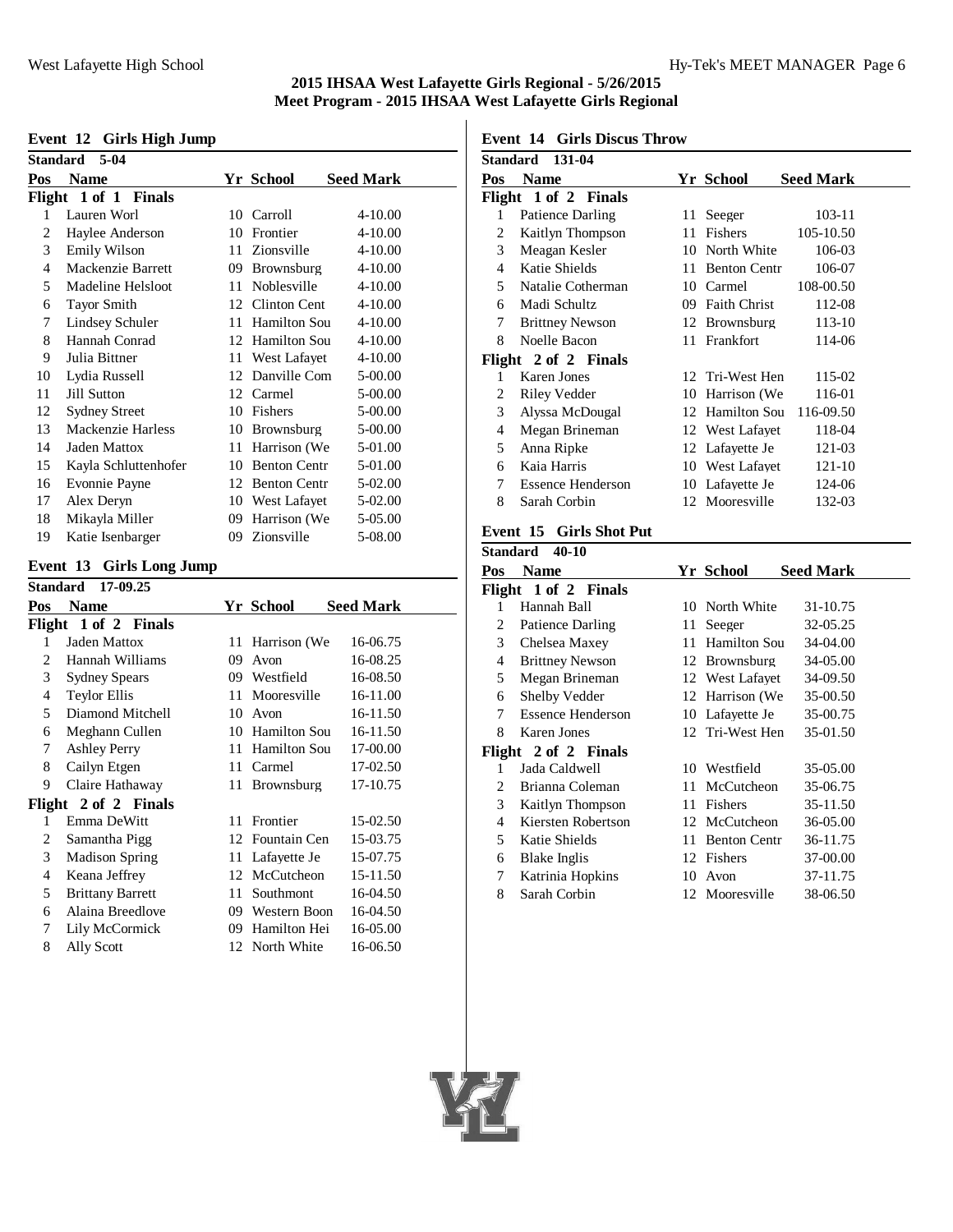#### **Event 12 Girls High Jump**

|               | o                    |    |                     |                  |
|---------------|----------------------|----|---------------------|------------------|
| Standard 5-04 |                      |    |                     |                  |
| Pos           | Name                 |    | Yr School           | <b>Seed Mark</b> |
|               | Flight 1 of 1 Finals |    |                     |                  |
| 1             | Lauren Worl          | 10 | Carroll             | $4 - 10.00$      |
| 2             | Haylee Anderson      | 10 | Frontier            | 4-10.00          |
| 3             | Emily Wilson         | 11 | Zionsville          | 4-10.00          |
| 4             | Mackenzie Barrett    | 09 | Brownsburg          | 4-10.00          |
| 5             | Madeline Helsloot    | 11 | Noblesville         | 4-10.00          |
| 6             | <b>Tayor Smith</b>   |    | 12 Clinton Cent     | $4 - 10.00$      |
| 7             | Lindsey Schuler      | 11 | <b>Hamilton Sou</b> | 4-10.00          |
| 8             | Hannah Conrad        | 12 | Hamilton Sou        | 4-10.00          |
| 9             | Julia Bittner        | 11 | West Lafayet        | $4 - 10.00$      |
| 10            | Lydia Russell        |    | 12 Danville Com     | 5-00.00          |
| 11            | Jill Sutton          |    | 12 Carmel           | 5-00.00          |
| 12            | <b>Sydney Street</b> | 10 | Fishers             | 5-00.00          |
| 13            | Mackenzie Harless    | 10 | Brownsburg          | 5-00.00          |
| 14            | Jaden Mattox         | 11 | Harrison (We        | 5-01.00          |
| 15            | Kayla Schluttenhofer | 10 | <b>Benton Centr</b> | 5-01.00          |
| 16            | <b>Evonnie Payne</b> | 12 | <b>Benton Centr</b> | 5-02.00          |
| 17            | Alex Deryn           |    | 10 West Lafayet     | 5-02.00          |
| 18            | Mikayla Miller       | 09 | Harrison (We        | 5-05.00          |
| 19            | Katie Isenbarger     | 09 | Zionsville          | 5-08.00          |

#### **Event 13 Girls Long Jump**

| 17-09.25<br><b>Standard</b> |                         |     |                     |                  |  |
|-----------------------------|-------------------------|-----|---------------------|------------------|--|
| Pos                         | <b>Name</b>             |     | Yr School           | <b>Seed Mark</b> |  |
|                             | Flight 1 of 2 Finals    |     |                     |                  |  |
| 1                           | Jaden Mattox            | 11- | Harrison (We        | 16-06.75         |  |
| 2                           | Hannah Williams         | 09  | Avon                | 16-08.25         |  |
| 3                           | <b>Sydney Spears</b>    |     | 09 Westfield        | 16-08.50         |  |
| 4                           | <b>Teylor Ellis</b>     | 11  | Mooresville         | 16-11.00         |  |
| 5.                          | Diamond Mitchell        | 10  | Avon                | 16-11.50         |  |
| 6                           | Meghann Cullen          |     | 10 Hamilton Sou     | 16-11.50         |  |
| 7                           | <b>Ashley Perry</b>     | 11  | <b>Hamilton Sou</b> | 17-00.00         |  |
| 8                           | Cailyn Etgen            | 11  | Carmel              | 17-02.50         |  |
| 9                           | Claire Hathaway         | 11  | <b>Brownsburg</b>   | 17-10.75         |  |
|                             | Flight 2 of 2 Finals    |     |                     |                  |  |
| 1                           | Emma DeWitt             | 11  | Frontier            | 15-02.50         |  |
| 2                           | Samantha Pigg           |     | 12 Fountain Cen     | 15-03.75         |  |
| 3                           | <b>Madison Spring</b>   | 11  | Lafayette Je        | 15-07.75         |  |
| 4                           | Keana Jeffrey           |     | 12 McCutcheon       | 15-11.50         |  |
| 5                           | <b>Brittany Barrett</b> | 11  | Southmont           | 16-04.50         |  |
| 6                           | Alaina Breedlove        |     | 09 Western Boon     | 16-04.50         |  |
| 7                           | Lily McCormick          | 09  | Hamilton Hei        | 16-05.00         |  |
| 8                           | Ally Scott              |     | 12 North White      | 16-06.50         |  |
|                             |                         |     |                     |                  |  |

# **Event 14 Girls Discus Throw**

| Standard 131-04 |                          |    |                           |                  |  |
|-----------------|--------------------------|----|---------------------------|------------------|--|
| Pos             | <b>Name</b>              |    | Yr School                 | <b>Seed Mark</b> |  |
|                 | Flight 1 of 2 Finals     |    |                           |                  |  |
| 1               | Patience Darling         | 11 | Seeger                    | 103-11           |  |
| 2               | Kaitlyn Thompson         | 11 | Fishers                   | 105-10.50        |  |
| 3               | Meagan Kesler            | 10 | North White               | 106-03           |  |
| 4               | Katie Shields            | 11 | <b>Benton Centr</b>       | 106-07           |  |
| 5               | Natalie Cotherman        | 10 | Carmel                    | 108-00.50        |  |
| 6               | Madi Schultz             | 09 | <b>Faith Christ</b>       | 112-08           |  |
| 7               | <b>Brittney Newson</b>   |    | 12 Brownsburg             | 113-10           |  |
| 8               | Noelle Bacon             |    | 11 Frankfort              | 114-06           |  |
|                 | Flight 2 of 2 Finals     |    |                           |                  |  |
| 1               | <b>Karen Jones</b>       |    | 12 Tri-West Hen           | 115-02           |  |
| 2               | Riley Vedder             | 10 | Harrison (We              | 116-01           |  |
| 3               | Alyssa McDougal          |    | 12 Hamilton Sou 116-09.50 |                  |  |
| 4               | Megan Brineman           |    | 12 West Lafayet           | 118-04           |  |
| 5               | Anna Ripke               |    | 12 Lafayette Je           | 121-03           |  |
| 6               | Kaia Harris              |    | 10 West Lafayet           | 121-10           |  |
| 7               | <b>Essence Henderson</b> |    | 10 Lafayette Je           | 124-06           |  |
| 8               | Sarah Corbin             |    | 12 Mooresville            | 132-03           |  |
|                 |                          |    |                           |                  |  |

# **Event 15 Girls Shot Put**

| Standard<br>40-10    |                          |     |                     |                  |  |  |
|----------------------|--------------------------|-----|---------------------|------------------|--|--|
| Pos                  | <b>Name</b>              |     | Yr School           | <b>Seed Mark</b> |  |  |
| Flight 1 of 2 Finals |                          |     |                     |                  |  |  |
| 1                    | Hannah Ball              |     | 10 North White      | 31-10.75         |  |  |
| 2                    | Patience Darling         | 11- | Seeger              | 32-05.25         |  |  |
| 3                    | Chelsea Maxey            |     | 11 Hamilton Sou     | 34-04.00         |  |  |
| 4                    | <b>Brittney Newson</b>   |     | 12 Brownsburg       | 34-05.00         |  |  |
| 5                    | Megan Brineman           |     | 12 West Lafayet     | 34-09.50         |  |  |
| 6                    | Shelby Vedder            |     | 12 Harrison (We     | 35-00.50         |  |  |
| 7                    | <b>Essence Henderson</b> |     | 10 Lafayette Je     | 35-00.75         |  |  |
| 8                    | Karen Jones              |     | 12 Tri-West Hen     | 35-01.50         |  |  |
| Flight 2 of 2 Finals |                          |     |                     |                  |  |  |
| 1                    | Jada Caldwell            |     | 10 Westfield        | 35-05.00         |  |  |
| 2                    | Brianna Coleman          | 11  | McCutcheon          | 35-06.75         |  |  |
| 3                    | Kaitlyn Thompson         | 11  | Fishers             | 35-11.50         |  |  |
| 4                    | Kiersten Robertson       |     | 12 McCutcheon       | 36-05.00         |  |  |
| 5                    | Katie Shields            | 11  | <b>Benton Centr</b> | 36-11.75         |  |  |
| 6                    | Blake Inglis             |     | 12 Fishers          | 37-00.00         |  |  |
| 7                    | Katrinia Hopkins         | 10  | Avon                | 37-11.75         |  |  |
| 8                    | Sarah Corbin             |     | 12 Mooresville      | 38-06.50         |  |  |
|                      |                          |     |                     |                  |  |  |